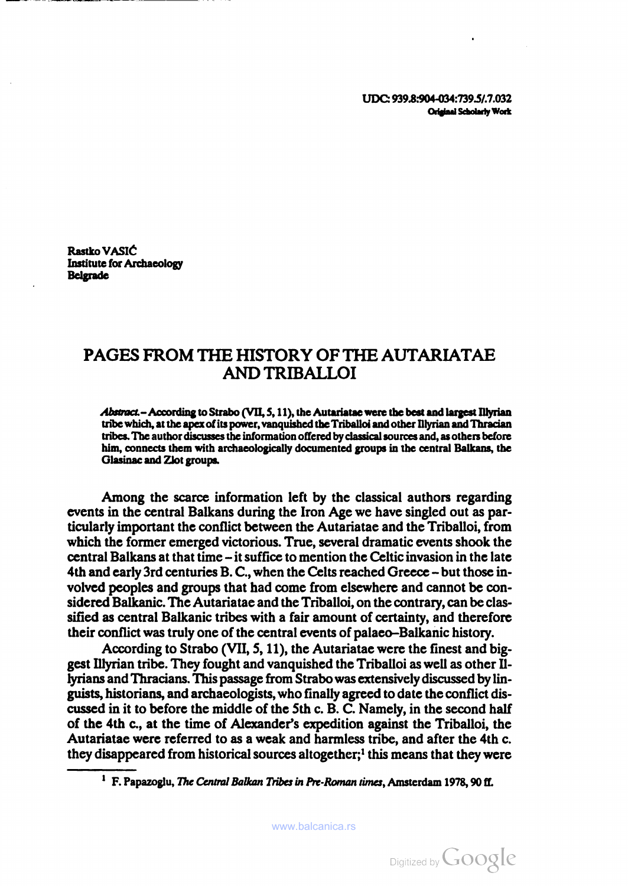UDC: 939.8:904-034:739.5/.7.032 Original Scholarly Work

Rastko VASIĆ Institute for Archaeology Belgrade

## PAGES FROM THE HISTORY OF THE AUTARIATAE ANDTRIBALLOI

Abstract.- According to Strabo (VII, 5, 11), the Autariatae were the best and largest Illyrian tribe which, at the apex of its power, vanquished the Triballoi and other Illyrian and Thracian tribes. The author discusses the information offered by classical sources and, as others before him, connects them with archaeologically documented groups in the central Balkans, the Glasinac and Zlot groups.

Among the scarce information left by the classical authors regarding events in the central Balkans during the Iron Age we have singled out as par ticularly important the conflict between the Autariatae and the Triballoi, from which the former emerged victorious. True, several dramatic events shook the central Balkans at that time - it suffice to mention the Celtic invasion in the late 4th and early 3rd centuries B. C, when the Celts reached Greece - but those in volved peoples and groups that had come from elsewhere and cannot be con sidered Balkanic. The Autariatae and the Triballoi, on the contrary, can be clas sified as central Balkanic tribes with a fair amount of certainty, and therefore their conflict was truly one of the central events of palaeo-Balkanic history.

According to Strabo (VII, 5, 11), the Autariatae were the finest and big gest Illyrian tribe. They fought and vanquished the Triballoi as well as other II lyrians and Thracians. This passage from Strabo was extensively discussed by lin guists, historians, and archaeologists, who finally agreed to date the conflict dis cussed in it to before the middle of the 5th c. B. C. Namely, in the second half of the 4th c., at the time of Alexander's expedition against the Triballoi, the Autariatae were referred to as a weak and harmless tribe, and after the 4th c. they disappeared from historical sources altogether;<sup>1</sup> this means that they were

 $<sup>1</sup>$  F. Papazoglu, *The Central Balkan Tribes in Pre-Roman times*, Amsterdam 1978, 90 ff.</sup>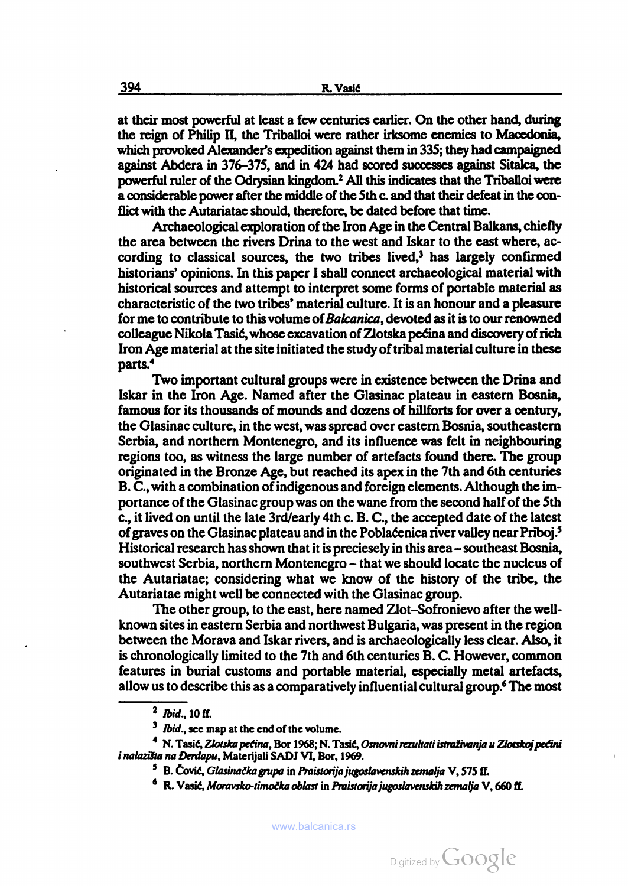at their most powerful at least <sup>a</sup> few centuries earlier. On the other hand, during the reign of Philip II, the Triballoi were rather irksome enemies to Macedonia, which provoked Alexander's expedition against them in 335; they had campaigned against Abdera in 376-375, and in 424 had scored successes against Sitalca, the powerful ruler of the Odrysian kingdom.2 All this indicates that the Triballoi were a considerable power after the middle of the 5th c. and that their defeat in the con flict with the Autariatae should, therefore, be dated before that time.

Archaeological exploration of the Iron Age in the Central Balkans, chiefly the area between the rivers Drina to the west and Iskar to the east where, ac cording to classical sources, the two tribes lived,<sup>3</sup> has largely confirmed historians' opinions. In this paper <sup>I</sup> shall connect archaeological material with historical sources and attempt to interpret some forms of portable material as characteristic of the two tribes' material culture. It is an honour and a pleasure for me to contribute to this volume of Balcanica, devoted as it is to our renowned colleague Nikola Tasić, whose excavation of Zlotska pećina and discovery of rich Iron Age material at the site initiated the study of tribal material culture in these parts.4

Two important cultural groups were in existence between the Drina and Iskar in the Iron Age. Named after the Glasinac plateau in eastern Bosnia, famous for its thousands of mounds and dozens of hillforts for over a century, the Glasinac culture, in the west, was spread over eastern Bosnia, southeastern Serbia, and northern Montenegro, and its influence was felt in neighbouring regions too, as witness the large number of artefacts found there. The group originated in the Bronze Age, but reached its apex in the 7th and 6th centuries B. C, with a combination of indigenous and foreign elements. Although the im portance of the Glasinac group was on the wane from the second half of the 5th c., it lived on until the late 3rd/early 4th c. B. C, the accepted date of the latest of graves on the Glasinac plateau and in the Poblaéenica river valley near Priboj.5 Historical research has shown that it is preciesely in this area – southeast Bosnia, southwest Serbia, northern Montenegro - that we should locate the nucleus of the Autariatae; considering what we know of the history of the tribe, the Autariatae might well be connected with the Glasinac group.

The other group, to the east, here named Zlot-Sofronievo after the wellknown sites in eastern Serbia and northwest Bulgaria, was present in the region between the Morava and Iskar rivers, and is archaeologically less clear. Also, it is chronologically limited to the 7th and 6th centuries B. C. However, common features in burial customs and portable material, especially metal artefacts, allow us to describe this as a comparatively influential cultural group.<sup>6</sup> The most

<sup>2</sup> Ibid., 10 ff.

 $3$  *Ibid.*, see map at the end of the volume.

<sup>&</sup>lt;sup>4</sup> N. Tasić, Zlotska pećina, Bor 1968; N. Tasić, Osnovni rezultati istraživanja u Zlotskoj pećini <sup>i</sup> nalaziíta na Derdapu, Materíjali SADJ VI, Bor, 1969.

<sup>&</sup>lt;sup>5</sup> B. Čović, Glasinačka grupa in Praistorija jugoslavenskih zemalja V, 575 ff.

 $^6$  R. Vasić, Moravsko-timočka oblast in Praistorija jugoslavenskih zemalja V, 660 ff.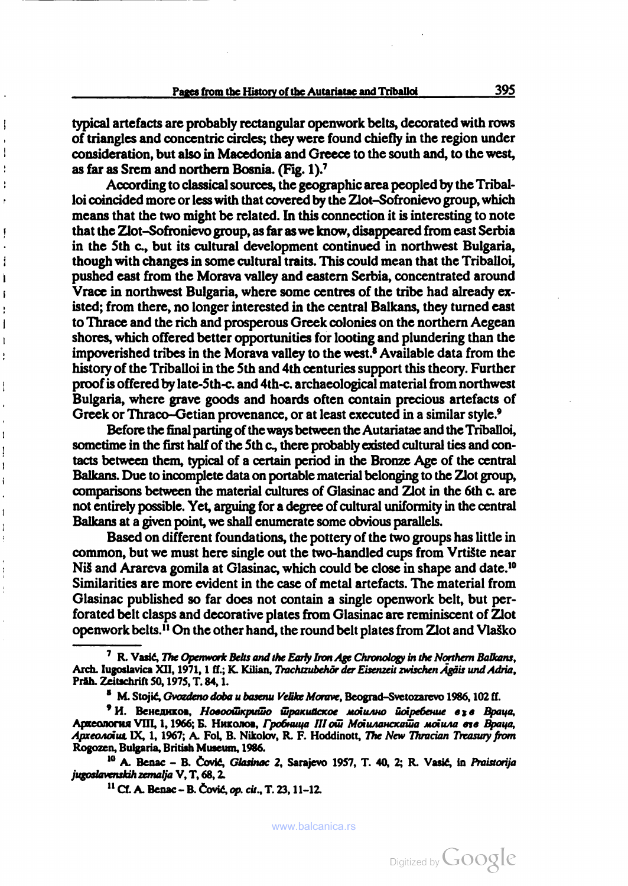typical artefacts are probably rectangular openwork belts, decorated with rows of triangles and concentric circles; they were found chiefly in the region under consideration, but also in Macedonia and Greece to the south and, to the west, as far as Srem and northern Bosnia. (Fig. I).7

According to classical sources, the geographic area peopled by the Tribal loi coincided more or less with that covered by the Zlot-Sofronievo group, which means that the two might be related. In this connection it is interesting to note that the Zlot-Sofronievo group, as far as we know, disappeared from east Serbia in the 5th c., but its cultural development continued in northwest Bulgaria, though with changes in some cultural traits. This could mean that the Triballoi, pushed east from the Morava valley and eastern Serbia, concentrated around Vrace in northwest Bulgaria, where some centres of the tribe had already ex isted; from there, no longer interested in the central Balkans, they turned east to Thrace and the rich and prosperous Greek colonies on the northern Aegean shores, which offered better opportunities for looting and plundering than the impoverished tribes in the Morava valley to the west.8 Available data from the history of the Triballoi in the 5th and 4th centuries support this theory. Further proof is offered by late-5th-c. and 4th-c. archaeological material from northwest Bulgaria, where grave goods and hoards often contain precious artefacts of Greek or Thraco-Getian provenance, or at least executed in a similar style.<sup>9</sup>

Before the final parting of the ways between the Autariatae and the Triballoi, sometime in the first half of the 5th c., there probably existed cultural ties and con tacts between them, typical of a certain period in the Bronze Age of the central Balkans. Due to incomplete data on portable material belonging to the Zlot group, comparisons between the material cultures of Glasinac and Zlot in the 6th c. are not entirely possible. Yet, arguing for a degree of cultural uniformity in the central Balkans at a given point, we shall enumerate some obvious parallels.

Based on different foundations, the pottery of the two groups has little in common, but we must here single out the two-handled cups from Vrtiste near Nis and Arareva gomila at Glasinac, which could be close in shape and date.<sup>10</sup> Similarities are more evident in the case of metal artefacts. The material from Glasinac published so far does not contain a single openwork belt, but per forated belt clasps and decorative plates from Glasinac are reminiscent of Zlot openwork belts.11 On the other hand, the round belt plates from Zlot and VlaSko

 $<sup>7</sup>$  R. Vasić, The Openwork Belts and the Early Iron Age Chronology in the Northern Balkans,</sup> Arch. Iugoslavica XII, 1971, 1 ff.; K. Kilian, Trachtzubehör der Eisenzeit zwischen Ägäis und Adria, Präh. Zeitschrift 50, 1975, T. 84, 1.

<sup>&</sup>lt;sup>8</sup> M. Stojić, Gvozdeno doba u basenu Velike Morave, Beograd-Svetozarevo 1986, 102 ff.

<sup>&</sup>lt;sup>9</sup> И. Венедиков, Новоошкришо шракийское молилно иогребение e<sub>3</sub>e Враца, Археология VIII, 1, 1966; Б. Николов, Гробница III ой Мойиланскай а мойила еге Враца, Apxeonoius IX, 1, 1967; A. Fol, B. Nikolov, R. F. Hoddinott, The New Thracian Treasury from Rogozen, Bulgaria, British Museum, 1986.

<sup>&</sup>lt;sup>10</sup> A. Benac - B. Čović, Glasinac 2, Sarajevo 1957, T. 40, 2; R. Vasić, in Praistorija jugoslavenskih zemalja V, T, 68, 2.

<sup>11</sup> Cf. A. Benac - B. Ôovié, op. cit., T. 23, 11-12.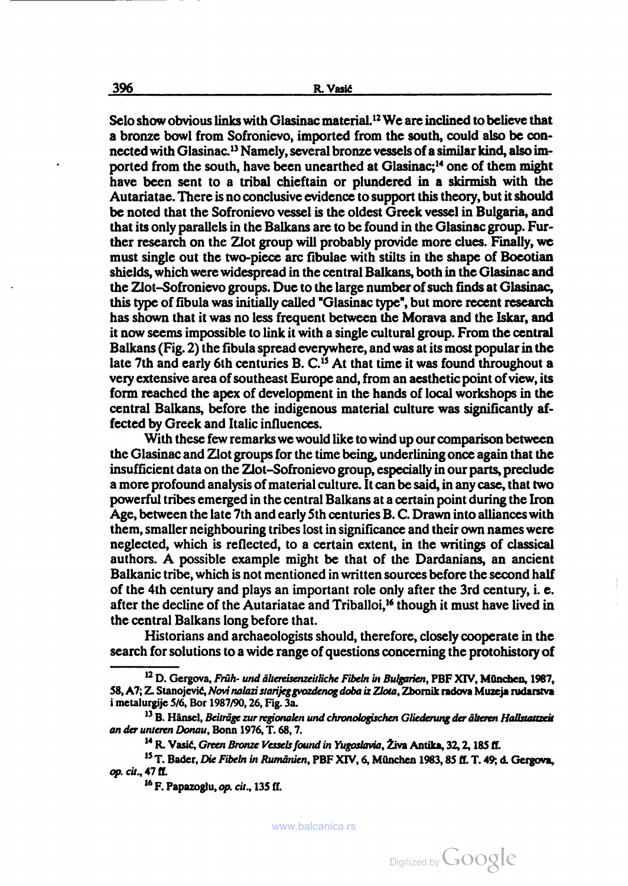Selo show obvious links with Glasinac material.<sup>12</sup> We are inclined to believe that a bronze bowl from Sofronievo, imported from the south, could also be con nected with Glasinac.13 Namely, several bronze vessels of a similar kind, also im ported from the south, have been unearthed at Glasinac;14 one of them might have been sent to a tribal chieftain or plundered in a skirmish with the Autariatae. There is no conclusive evidence to support this theory, but it should be noted that the Sofronievo vessel is the oldest Greek vessel in Bulgaria, and that its only parallels in the Balkans are to be found in the Glasinac group. Fur ther research on the Zlot group will probably provide more clues. Finally, we must single out the two-piece arc fibulae with stilts in the shape of Boeotian shields, which were widespread in the central Balkans, both in the Glasinac and the Zlot-Sofronievo groups. Due to the large number of such finds at Glasinac, this type of fibula was initially called "Glasinac type", but more recent research has shown that it was no less frequent between the Morava and the Iskar, and it now seems impossible to link it with a single cultural group. From the central Balkans (Fig. 2) the fibula spread everywhere, and was at its most popular in the late 7th and early 6th centuries B. C.15 At that time it was found throughout a very extensive area of southeast Europe and, from an aesthetic point of view, its form reached the apex of development in the hands of local workshops in the central Balkans, before the indigenous material culture was significantly af fected by Greek and Italic influences.

With these few remarks we would like to wind up our comparison between the Glasinac and Zlot groups for the time being, underlining once again that the insufficient data on the Zlot-Sofronievo group, especially in our parts, preclude a more profound analysis of material culture. It can be said, in any case, that two powerful tribes emerged in the central Balkans at a certain point during the Iron Age, between the late 7lh and early 5th centuries B. C. Drawn into alliances with them, smaller neighbouring tribes lost in significance and their own names were neglected, which is reflected, to a certain extent, in the writings of classical authors. A possible example might be that of the Dardanians, an ancient Balkanic tribe, which is not mentioned in written sources before the second half of the 4th century and plays an important role only after the 3rd century, i. e. after the decline of the Autariatae and Triballoi,<sup>16</sup> though it must have lived in the central Balkans long before that.

Historians and archaeologists should, therefore, closely cooperate in the search for solutions to a wide range of questions concerning the protohistory of

<sup>&</sup>lt;sup>12</sup> D. Gergova, Früh- und ältereisenzeitliche Fibeln in Bulgarien, PBF XIV, München, 1987, 58, A7; Z. Stanojević, Novi nalazi starijeg gvozdenog doba iz Zlota, Zbornik radova Muzeja rudarstva <sup>i</sup> metalurgije 5/6, Bor 1987/90, 26, Fig. За.

<sup>&</sup>lt;sup>13</sup> B. Hänsel, Beiträge zur regionalen und chronologischen Gliederung der älteren Hallstattzeit an der unteren Donau, Bonn 1976, T. 68, 7.

<sup>&</sup>lt;sup>14</sup> R. Vasić, *Green Bronze Vessels found in Yugoslavia*, Živa Antika, 32, 2, 185 ff.

<sup>&</sup>lt;sup>15</sup> T. Bader, Die Fibeln in Rumänien, PBF XIV, 6, München 1983, 85 ff. T. 49; d. Gergova, op. cit., 47 ff.

<sup>&</sup>lt;sup>16</sup> F. Papazoglu, op. cit., 135 ff.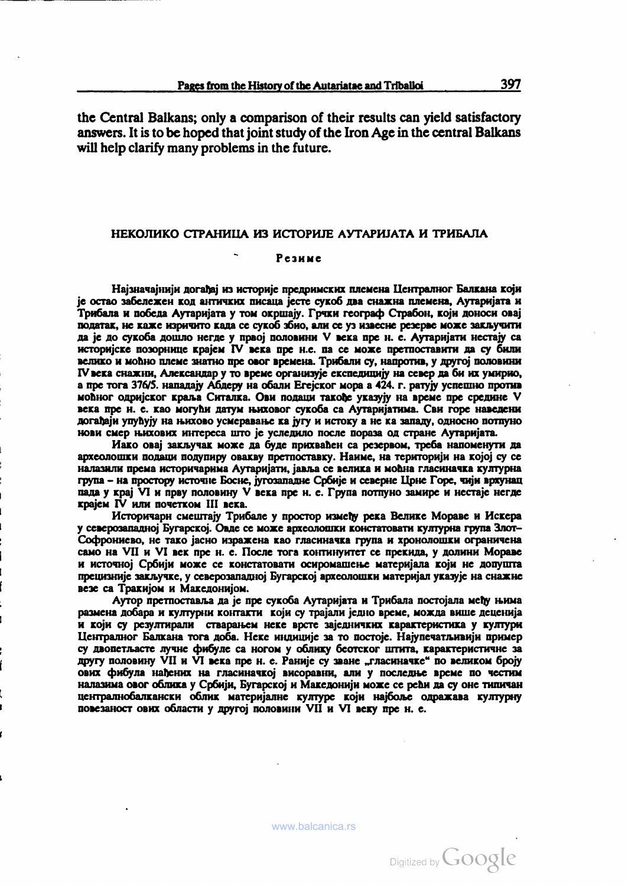the Central Balkans; only a comparison of their results can yield satisfactory answers. It is to be hoped that joint study of the Iron Age in the central Balkans will help clarify many problems in the future.

## НЕКОЛИКО СТРАНИЦА ИЗ ИСТОРШЕ АУТАРШАТА И ТРИБАЛА

## Резные

Најзначајнији догађај из историје предримских племена Централног Балкана који je остао эабележен код античких писана jccre сукоб два снажиа племена, AyrapHJara и Трибала и победа Аутари]ата у том oxpuiajy. Грчки географ Страбон, KOJH доноси onaj податак, не каже изричито када се сукоб збио, али се уз извесне резерве може заклучити да је до сукоба дошло негде у првој половини V века пре н. е. Аутаријати нестају са HcTopnjcKc позорнице KpajeM IV века пре н.е. па се може претпоставити да су били велико и моћно племе знатно пре овог времена. Трибали су, напротив, у другој половини IV века снажни, Александар у то време организује експедицију на север да би их умирио, а пре тога 376/5. нападају Абдеру на обали Erejckor мора а 424. г. ратују успешно против моћног одријског краља Ситалка. Ови подаци такође указују на време пре средине V века пре н. е. као могући датум њиховог сукоба са Аутаријатима. Сви горе наведени догађаји упућују на њихово усмеравање ка југу и истоку а не ка западу, односно потпуно

нови смер њихових интереса што је уследило после пораза од стране Аутаријата.<br>Иако овај закључак може да буде прихваћен са резервом, треба напоменути да<br>археолошки подаци подупиру овакву претпоставку. Наиме, на територији налазили према историчарима Аутаријати, јапља се велика и моћна гласиначка културна група - на простору источне Босне, ;угозападне Србије и северне Црне Горе, чији врхунац<br>пала у крај VI и прву половину V века пре н. е. Група потпуно замире и нестаје негде KpajeM IV или почстком III века.

Историчари CMCurrajy Трибале у простор измену река Велике Мораве и Искера у северозападној Бугарској. Овде се може археолошки констатовати културна група Злот-<br>Софрониево, не тако јасно изражена као гласиначка група и хронолошки ограничена само на VII и VI век пре н. е. После тога континуитет се прекида, у долини Мораве и источној Србији може се констатовати осиромашење материјала који не допушта прецизније закључке, у северозападној Бугарској археолошки материјал указује на снажне везе са Тракијом и Македонијом.<br>Аутор претпоставља да је пре сукоба Аутаријата и Трибала постојала међу њима

размена добара и културни контакти који су трајали једно време, можда више деценија и који су резултирали стварањем неке врсте заједничких карактеристика у култури Иснтралиог Балкана тога доба. Неке индиције за то постоје. Најупечатљивији пример су двопетл,асте лучне фибуле са потом у облику беотског штита, карактеристичне за другу половину VII и VI века пре н. е. Раније су зване "гласиначке" по великом броју ових фибула нађених на гласиначкој висоравни, али у последње време по честим налазима овог облика у Србији, Бугарској и Македонији може се рећи да су оне типичан цоггралнобалкански облик матери;алне културе KOJH на}6оле одражава културну повезаност ових области у другој половини VII и VI веку пре н. е.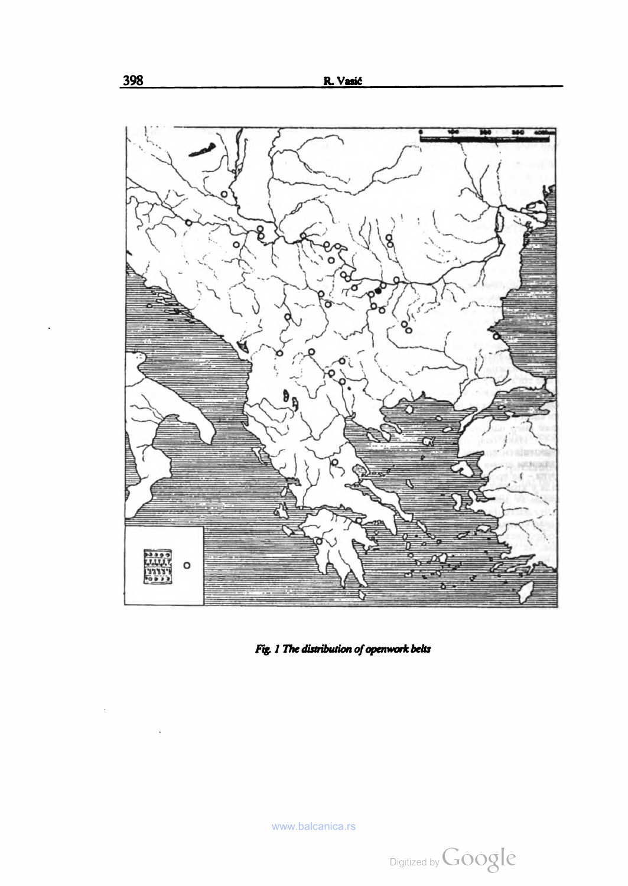

Fig. 1 The distribution of openwork belts

 $\ddot{\phantom{0}}$ 

 $\rightarrow$ 

 $\epsilon$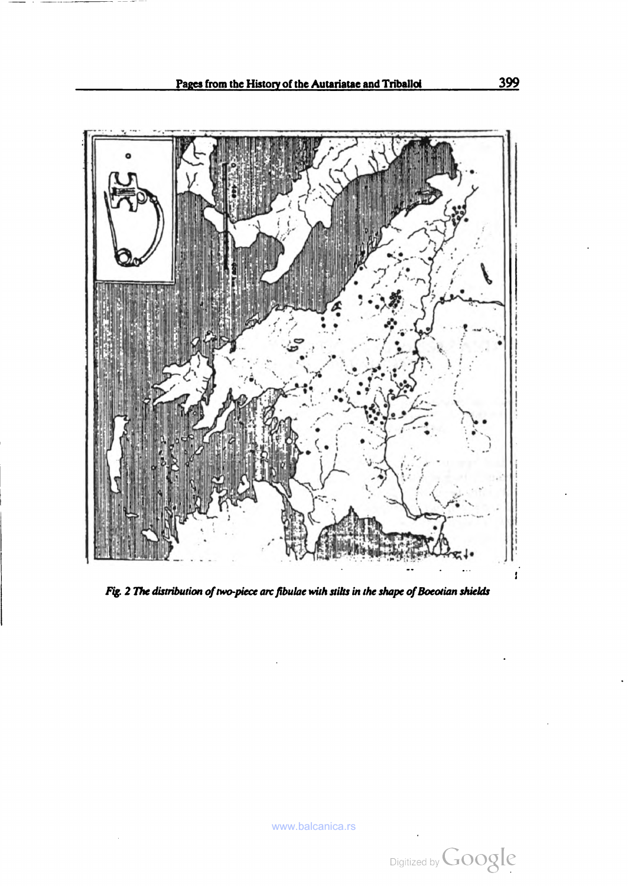

Fig. 2 The distribution of two-piece arc fibulae with stilts in the shape of Boeotian shields